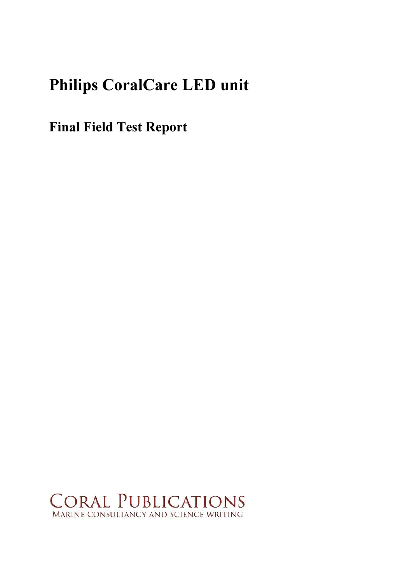# Philips CoralCare LED unit

Final Field Test Report

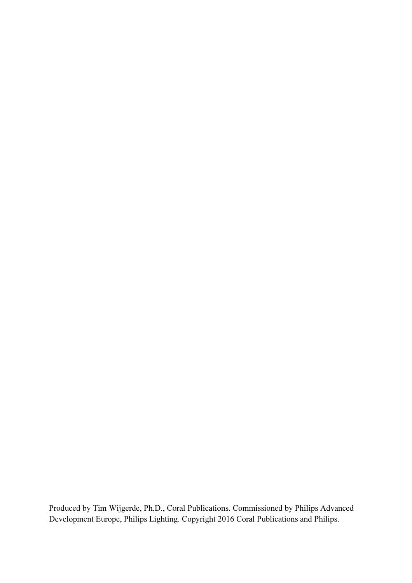Produced by Tim Wijgerde, Ph.D., Coral Publications. Commissioned by Philips Advanced Development Europe, Philips Lighting. Copyright 2016 Coral Publications and Philips.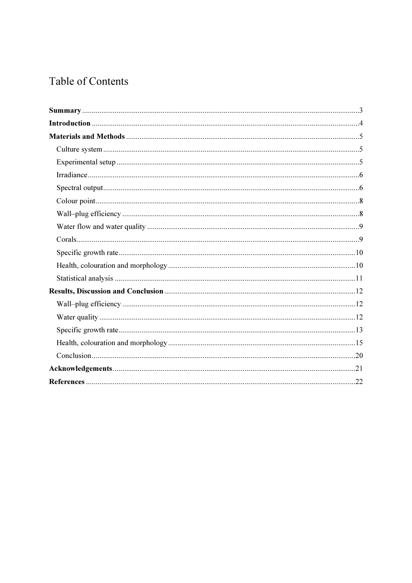# Table of Contents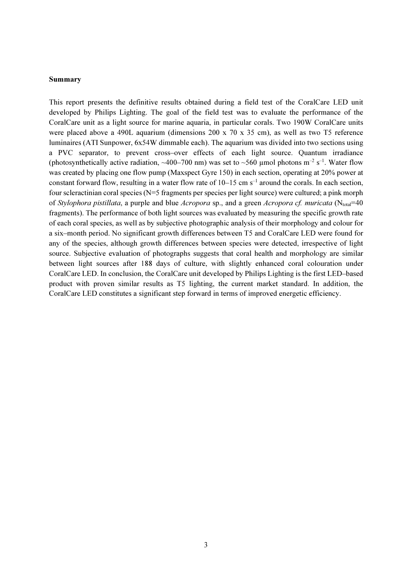#### Summary

This report presents the definitive results obtained during a field test of the CoralCare LED unit developed by Philips Lighting. The goal of the field test was to evaluate the performance of the CoralCare unit as a light source for marine aquaria, in particular corals. Two 190W CoralCare units were placed above a 490L aquarium (dimensions 200 x 70 x 35 cm), as well as two T5 reference luminaires (ATI Sunpower, 6x54W dimmable each). The aquarium was divided into two sections using a PVC separator, to prevent cross–over effects of each light source. Quantum irradiance (photosynthetically active radiation,  $\sim$ 400–700 nm) was set to  $\sim$ 560 µmol photons m<sup>-2</sup> s<sup>-1</sup>. Water flow was created by placing one flow pump (Maxspect Gyre 150) in each section, operating at 20% power at constant forward flow, resulting in a water flow rate of  $10-15$  cm s<sup>-1</sup> around the corals. In each section, four scleractinian coral species (N=5 fragments per species per light source) were cultured; a pink morph of Stylophora pistillata, a purple and blue Acropora sp., and a green Acropora cf. muricata (Ntotal=40) fragments). The performance of both light sources was evaluated by measuring the specific growth rate of each coral species, as well as by subjective photographic analysis of their morphology and colour for a six–month period. No significant growth differences between T5 and CoralCare LED were found for any of the species, although growth differences between species were detected, irrespective of light source. Subjective evaluation of photographs suggests that coral health and morphology are similar between light sources after 188 days of culture, with slightly enhanced coral colouration under CoralCare LED. In conclusion, the CoralCare unit developed by Philips Lighting is the first LED–based product with proven similar results as T5 lighting, the current market standard. In addition, the CoralCare LED constitutes a significant step forward in terms of improved energetic efficiency.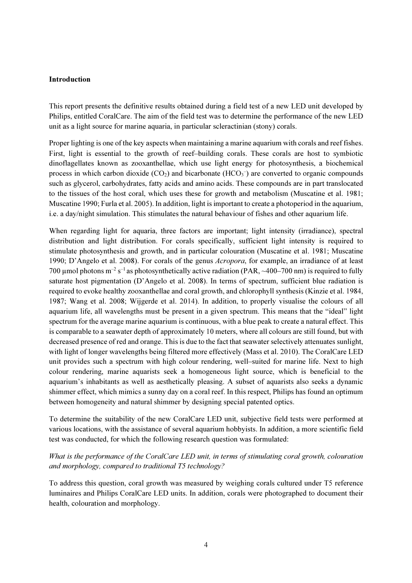#### Introduction

This report presents the definitive results obtained during a field test of a new LED unit developed by Philips, entitled CoralCare. The aim of the field test was to determine the performance of the new LED unit as a light source for marine aquaria, in particular scleractinian (stony) corals.

Proper lighting is one of the key aspects when maintaining a marine aquarium with corals and reef fishes. First, light is essential to the growth of reef–building corals. These corals are host to symbiotic dinoflagellates known as zooxanthellae, which use light energy for photosynthesis, a biochemical process in which carbon dioxide  $(CO_2)$  and bicarbonate  $(HCO_3^-)$  are converted to organic compounds such as glycerol, carbohydrates, fatty acids and amino acids. These compounds are in part translocated to the tissues of the host coral, which uses these for growth and metabolism (Muscatine et al. 1981; Muscatine 1990; Furla et al. 2005). In addition, light is important to create a photoperiod in the aquarium, i.e. a day/night simulation. This stimulates the natural behaviour of fishes and other aquarium life.

When regarding light for aquaria, three factors are important; light intensity (irradiance), spectral distribution and light distribution. For corals specifically, sufficient light intensity is required to stimulate photosynthesis and growth, and in particular colouration (Muscatine et al. 1981; Muscatine 1990; D'Angelo et al. 2008). For corals of the genus Acropora, for example, an irradiance of at least 700 µmol photons  $m^{-2}$  s<sup>-1</sup> as photosynthetically active radiation (PAR,  $\sim$ 400–700 nm) is required to fully saturate host pigmentation (D'Angelo et al. 2008). In terms of spectrum, sufficient blue radiation is required to evoke healthy zooxanthellae and coral growth, and chlorophyll synthesis (Kinzie et al. 1984, 1987; Wang et al. 2008; Wijgerde et al. 2014). In addition, to properly visualise the colours of all aquarium life, all wavelengths must be present in a given spectrum. This means that the "ideal" light spectrum for the average marine aquarium is continuous, with a blue peak to create a natural effect. This is comparable to a seawater depth of approximately 10 meters, where all colours are still found, but with decreased presence of red and orange. This is due to the fact that seawater selectively attenuates sunlight, with light of longer wavelengths being filtered more effectively (Mass et al. 2010). The CoralCare LED unit provides such a spectrum with high colour rendering, well–suited for marine life. Next to high colour rendering, marine aquarists seek a homogeneous light source, which is beneficial to the aquarium's inhabitants as well as aesthetically pleasing. A subset of aquarists also seeks a dynamic shimmer effect, which mimics a sunny day on a coral reef. In this respect, Philips has found an optimum between homogeneity and natural shimmer by designing special patented optics.

To determine the suitability of the new CoralCare LED unit, subjective field tests were performed at various locations, with the assistance of several aquarium hobbyists. In addition, a more scientific field test was conducted, for which the following research question was formulated:

# What is the performance of the CoralCare LED unit, in terms of stimulating coral growth, colouration and morphology, compared to traditional T5 technology?

To address this question, coral growth was measured by weighing corals cultured under T5 reference luminaires and Philips CoralCare LED units. In addition, corals were photographed to document their health, colouration and morphology.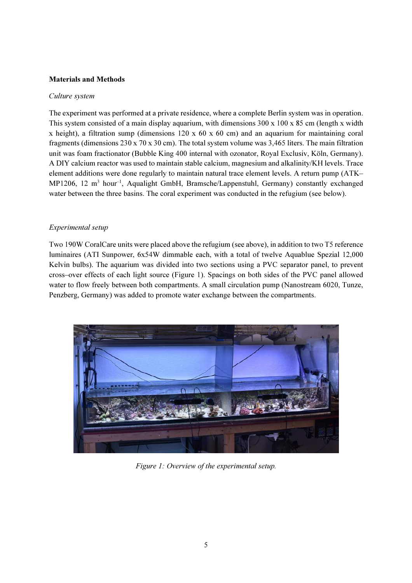# Materials and Methods

#### Culture system

The experiment was performed at a private residence, where a complete Berlin system was in operation. This system consisted of a main display aquarium, with dimensions 300 x 100 x 85 cm (length x width x height), a filtration sump (dimensions 120 x 60 x 60 cm) and an aquarium for maintaining coral fragments (dimensions  $230 \times 70 \times 30$  cm). The total system volume was 3,465 liters. The main filtration unit was foam fractionator (Bubble King 400 internal with ozonator, Royal Exclusiv, Köln, Germany). A DIY calcium reactor was used to maintain stable calcium, magnesium and alkalinity/KH levels. Trace element additions were done regularly to maintain natural trace element levels. A return pump (ATK– MP1206, 12 m<sup>3</sup> hour<sup>-1</sup>, Aqualight GmbH, Bramsche/Lappenstuhl, Germany) constantly exchanged water between the three basins. The coral experiment was conducted in the refugium (see below).

#### Experimental setup

Two 190W CoralCare units were placed above the refugium (see above), in addition to two T5 reference luminaires (ATI Sunpower, 6x54W dimmable each, with a total of twelve Aquablue Spezial 12,000 Kelvin bulbs). The aquarium was divided into two sections using a PVC separator panel, to prevent cross–over effects of each light source (Figure 1). Spacings on both sides of the PVC panel allowed water to flow freely between both compartments. A small circulation pump (Nanostream 6020, Tunze, Penzberg, Germany) was added to promote water exchange between the compartments.



Figure 1: Overview of the experimental setup.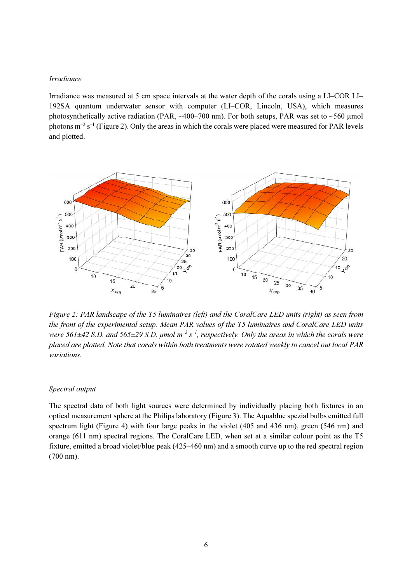#### Irradiance

Irradiance was measured at 5 cm space intervals at the water depth of the corals using a LI–COR LI– 192SA quantum underwater sensor with computer (LI–COR, Lincoln, USA), which measures photosynthetically active radiation (PAR,  $\sim$ 400–700 nm). For both setups, PAR was set to  $\sim$ 560 µmol photons  $m^{-2} s^{-1}$  (Figure 2). Only the areas in which the corals were placed were measured for PAR levels and plotted.



Figure 2: PAR landscape of the T5 luminaires (left) and the CoralCare LED units (right) as seen from the front of the experimental setup. Mean PAR values of the T5 luminaires and CoralCare LED units were 561 $\pm$ 42 S.D. and 565 $\pm$ 29 S.D. µmol m<sup>-2</sup> s<sup>-1</sup>, respectively. Only the areas in which the corals were placed are plotted. Note that corals within both treatments were rotated weekly to cancel out local PAR variations.

#### Spectral output

The spectral data of both light sources were determined by individually placing both fixtures in an optical measurement sphere at the Philips laboratory (Figure 3). The Aquablue spezial bulbs emitted full spectrum light (Figure 4) with four large peaks in the violet (405 and 436 nm), green (546 nm) and orange (611 nm) spectral regions. The CoralCare LED, when set at a similar colour point as the T5 fixture, emitted a broad violet/blue peak (425–460 nm) and a smooth curve up to the red spectral region (700 nm).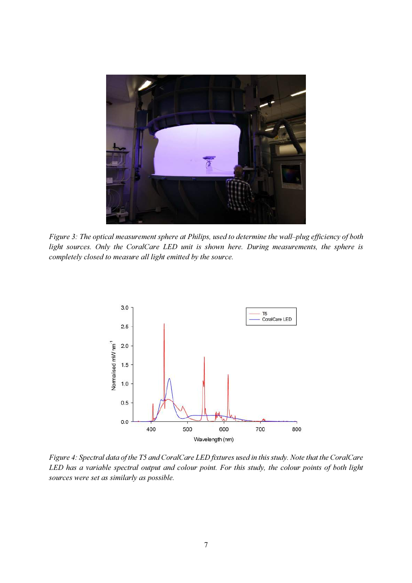

Figure 3: The optical measurement sphere at Philips, used to determine the wall–plug efficiency of both light sources. Only the CoralCare LED unit is shown here. During measurements, the sphere is completely closed to measure all light emitted by the source.



Figure 4: Spectral data of the T5 and CoralCare LED fixtures used in this study. Note that the CoralCare LED has a variable spectral output and colour point. For this study, the colour points of both light sources were set as similarly as possible.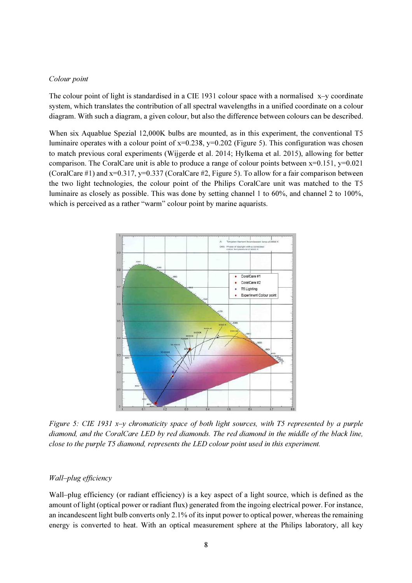#### Colour point

The colour point of light is standardised in a CIE 1931 colour space with a normalised  $x-y$  coordinate system, which translates the contribution of all spectral wavelengths in a unified coordinate on a colour diagram. With such a diagram, a given colour, but also the difference between colours can be described.

When six Aquablue Spezial 12,000K bulbs are mounted, as in this experiment, the conventional T5 luminaire operates with a colour point of  $x=0.238$ ,  $y=0.202$  (Figure 5). This configuration was chosen to match previous coral experiments (Wijgerde et al. 2014; Hylkema et al. 2015), allowing for better comparison. The CoralCare unit is able to produce a range of colour points between  $x=0.151$ ,  $y=0.021$ (CoralCare #1) and  $x=0.317$ ,  $y=0.337$  (CoralCare #2, Figure 5). To allow for a fair comparison between the two light technologies, the colour point of the Philips CoralCare unit was matched to the T5 luminaire as closely as possible. This was done by setting channel 1 to 60%, and channel 2 to 100%, which is perceived as a rather "warm" colour point by marine aquarists.



Figure 5: CIE 1931 x–y chromaticity space of both light sources, with T5 represented by a purple diamond, and the CoralCare LED by red diamonds. The red diamond in the middle of the black line, close to the purple T5 diamond, represents the LED colour point used in this experiment.

#### Wall–plug efficiency

Wall–plug efficiency (or radiant efficiency) is a key aspect of a light source, which is defined as the amount of light (optical power or radiant flux) generated from the ingoing electrical power. For instance, an incandescent light bulb converts only 2.1% of its input power to optical power, whereas the remaining energy is converted to heat. With an optical measurement sphere at the Philips laboratory, all key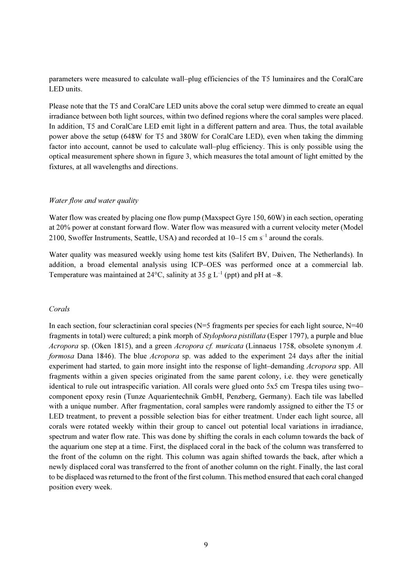parameters were measured to calculate wall–plug efficiencies of the T5 luminaires and the CoralCare LED units.

Please note that the T5 and CoralCare LED units above the coral setup were dimmed to create an equal irradiance between both light sources, within two defined regions where the coral samples were placed. In addition, T5 and CoralCare LED emit light in a different pattern and area. Thus, the total available power above the setup (648W for T5 and 380W for CoralCare LED), even when taking the dimming factor into account, cannot be used to calculate wall–plug efficiency. This is only possible using the optical measurement sphere shown in figure 3, which measures the total amount of light emitted by the fixtures, at all wavelengths and directions.

#### Water flow and water quality

Water flow was created by placing one flow pump (Maxspect Gyre 150, 60W) in each section, operating at 20% power at constant forward flow. Water flow was measured with a current velocity meter (Model 2100, Swoffer Instruments, Seattle, USA) and recorded at 10–15 cm s–1 around the corals.

Water quality was measured weekly using home test kits (Salifert BV, Duiven, The Netherlands). In addition, a broad elemental analysis using ICP–OES was performed once at a commercial lab. Temperature was maintained at 24 $^{\circ}$ C, salinity at 35 g L<sup>-1</sup> (ppt) and pH at  $\sim$ 8.

#### Corals

In each section, four scleractinian coral species ( $N=5$  fragments per species for each light source,  $N=40$ fragments in total) were cultured; a pink morph of Stylophora pistillata (Esper 1797), a purple and blue Acropora sp. (Oken 1815), and a green Acropora cf. muricata (Linnaeus 1758, obsolete synonym A. formosa Dana 1846). The blue Acropora sp. was added to the experiment 24 days after the initial experiment had started, to gain more insight into the response of light–demanding Acropora spp. All fragments within a given species originated from the same parent colony, i.e. they were genetically identical to rule out intraspecific variation. All corals were glued onto 5x5 cm Trespa tiles using two– component epoxy resin (Tunze Aquarientechnik GmbH, Penzberg, Germany). Each tile was labelled with a unique number. After fragmentation, coral samples were randomly assigned to either the T5 or LED treatment, to prevent a possible selection bias for either treatment. Under each light source, all corals were rotated weekly within their group to cancel out potential local variations in irradiance, spectrum and water flow rate. This was done by shifting the corals in each column towards the back of the aquarium one step at a time. First, the displaced coral in the back of the column was transferred to the front of the column on the right. This column was again shifted towards the back, after which a newly displaced coral was transferred to the front of another column on the right. Finally, the last coral to be displaced was returned to the front of the first column. This method ensured that each coral changed position every week.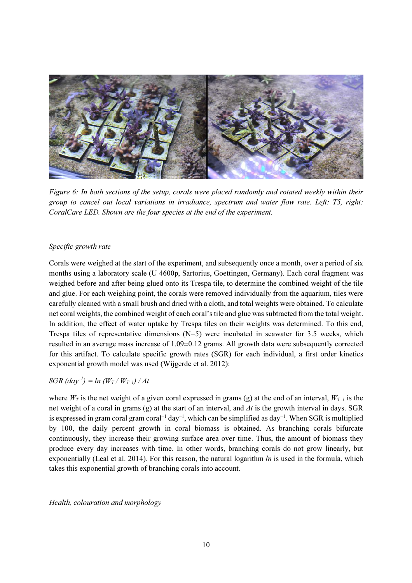

Figure 6: In both sections of the setup, corals were placed randomly and rotated weekly within their group to cancel out local variations in irradiance, spectrum and water flow rate. Left: T5, right: CoralCare LED. Shown are the four species at the end of the experiment.

# Specific growth rate

Corals were weighed at the start of the experiment, and subsequently once a month, over a period of six months using a laboratory scale (U 4600p, Sartorius, Goettingen, Germany). Each coral fragment was weighed before and after being glued onto its Trespa tile, to determine the combined weight of the tile and glue. For each weighing point, the corals were removed individually from the aquarium, tiles were carefully cleaned with a small brush and dried with a cloth, and total weights were obtained. To calculate net coral weights, the combined weight of each coral's tile and glue was subtracted from the total weight. In addition, the effect of water uptake by Trespa tiles on their weights was determined. To this end, Trespa tiles of representative dimensions  $(N=5)$  were incubated in seawater for 3.5 weeks, which resulted in an average mass increase of 1.09±0.12 grams. All growth data were subsequently corrected for this artifact. To calculate specific growth rates (SGR) for each individual, a first order kinetics exponential growth model was used (Wijgerde et al. 2012):

# $SGR$  (day<sup>-1</sup>) = ln ( $W_T$  /  $W_{T-1}$ ) /  $\Delta t$

where  $W_T$  is the net weight of a given coral expressed in grams (g) at the end of an interval,  $W_{T-1}$  is the net weight of a coral in grams (g) at the start of an interval, and  $\Delta t$  is the growth interval in days. SGR is expressed in gram coral gram coral−1 day−1, which can be simplified as day−1. When SGR is multiplied by 100, the daily percent growth in coral biomass is obtained. As branching corals bifurcate continuously, they increase their growing surface area over time. Thus, the amount of biomass they produce every day increases with time. In other words, branching corals do not grow linearly, but exponentially (Leal et al. 2014). For this reason, the natural logarithm  $ln$  is used in the formula, which takes this exponential growth of branching corals into account.

Health, colouration and morphology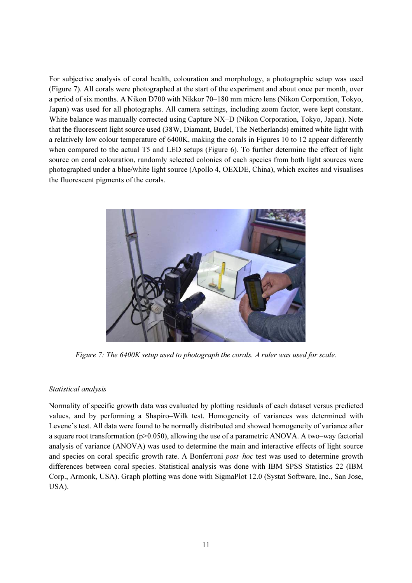For subjective analysis of coral health, colouration and morphology, a photographic setup was used (Figure 7). All corals were photographed at the start of the experiment and about once per month, over a period of six months. A Nikon D700 with Nikkor 70–180 mm micro lens (Nikon Corporation, Tokyo, Japan) was used for all photographs. All camera settings, including zoom factor, were kept constant. White balance was manually corrected using Capture NX–D (Nikon Corporation, Tokyo, Japan). Note that the fluorescent light source used (38W, Diamant, Budel, The Netherlands) emitted white light with a relatively low colour temperature of 6400K, making the corals in Figures 10 to 12 appear differently when compared to the actual T5 and LED setups (Figure 6). To further determine the effect of light source on coral colouration, randomly selected colonies of each species from both light sources were photographed under a blue/white light source (Apollo 4, OEXDE, China), which excites and visualises the fluorescent pigments of the corals.



Figure 7: The 6400K setup used to photograph the corals. A ruler was used for scale.

# Statistical analysis

Normality of specific growth data was evaluated by plotting residuals of each dataset versus predicted values, and by performing a Shapiro–Wilk test. Homogeneity of variances was determined with Levene's test. All data were found to be normally distributed and showed homogeneity of variance after a square root transformation ( $p>0.050$ ), allowing the use of a parametric ANOVA. A two–way factorial analysis of variance (ANOVA) was used to determine the main and interactive effects of light source and species on coral specific growth rate. A Bonferroni *post–hoc* test was used to determine growth differences between coral species. Statistical analysis was done with IBM SPSS Statistics 22 (IBM Corp., Armonk, USA). Graph plotting was done with SigmaPlot 12.0 (Systat Software, Inc., San Jose, USA).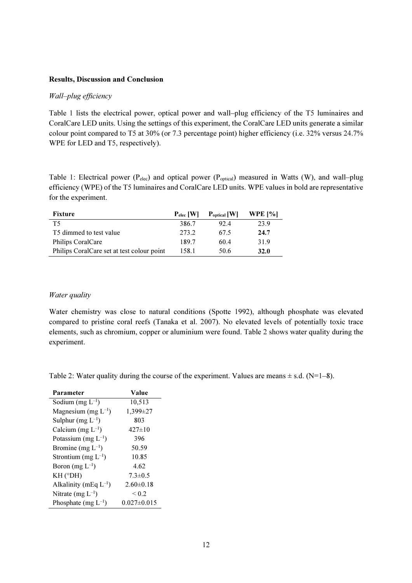#### Results, Discussion and Conclusion

# Wall–plug efficiency

Table 1 lists the electrical power, optical power and wall–plug efficiency of the T5 luminaires and CoralCare LED units. Using the settings of this experiment, the CoralCare LED units generate a similar colour point compared to T5 at 30% (or 7.3 percentage point) higher efficiency (i.e. 32% versus 24.7% WPE for LED and T5, respectively).

Table 1: Electrical power ( $P_{elec}$ ) and optical power ( $P_{optical}$ ) measured in Watts (W), and wall–plug efficiency (WPE) of the T5 luminaires and CoralCare LED units. WPE values in bold are representative for the experiment.

| <b>Fixture</b>                             | $P_{elec}$ [W] | $P_{\text{optical}}$ [W] | <b>WPE</b> [%] |
|--------------------------------------------|----------------|--------------------------|----------------|
| T5                                         | 386.7          | 92.4                     | 23.9           |
| T5 dimmed to test value                    | 273.2          | 67.5                     | 24.7           |
| Philips CoralCare                          | 189.7          | 60.4                     | 31.9           |
| Philips CoralCare set at test colour point | 158.1          | 50.6                     | <b>32.0</b>    |

#### Water quality

Water chemistry was close to natural conditions (Spotte 1992), although phosphate was elevated compared to pristine coral reefs (Tanaka et al. 2007). No elevated levels of potentially toxic trace elements, such as chromium, copper or aluminium were found. Table 2 shows water quality during the experiment.

Table 2: Water quality during the course of the experiment. Values are means  $\pm$  s.d. (N=1–8).

| Parameter                  | Value             |
|----------------------------|-------------------|
| Sodium (mg $L^{-1}$ )      | 10,513            |
| Magnesium (mg $L^{-1}$ )   | 1,399±27          |
| Sulphur (mg $L^{-1}$ )     | 803               |
| Calcium (mg $L^{-1}$ )     | $427 \pm 10$      |
| Potassium (mg $L^{-1}$ )   | 396               |
| Bromine (mg $L^{-1}$ )     | 50.59             |
| Strontium (mg $L^{-1}$ )   | 10.85             |
| Boron (mg $L^{-1}$ )       | 4.62              |
| $KH$ ( $^{\circ}DH$ )      | $7.3 \pm 0.5$     |
| Alkalinity (mEq $L^{-1}$ ) | $2.60\pm0.18$     |
| Nitrate (mg $L^{-1}$ )     | ${}^{<}0.2$       |
| Phosphate (mg $L^{-1}$ )   | $0.027 \pm 0.015$ |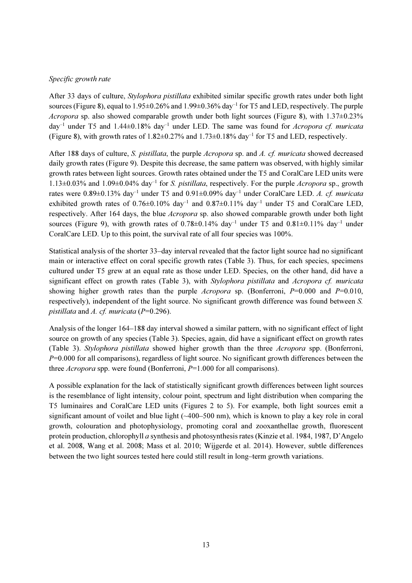# Specific growth rate

After 33 days of culture, *Stylophora pistillata* exhibited similar specific growth rates under both light sources (Figure 8), equal to 1.95±0.26% and 1.99±0.36% day<sup>-1</sup> for T5 and LED, respectively. The purple *Acropora* sp. also showed comparable growth under both light sources (Figure 8), with  $1.37\pm0.23\%$ day<sup>-1</sup> under T5 and 1.44 $\pm$ 0.18% day<sup>-1</sup> under LED. The same was found for *Acropora cf. muricata* (Figure 8), with growth rates of  $1.82 \pm 0.27\%$  and  $1.73 \pm 0.18\%$  day<sup>-1</sup> for T5 and LED, respectively.

After 188 days of culture, S. pistillata, the purple Acropora sp. and A. cf. muricata showed decreased daily growth rates (Figure 9). Despite this decrease, the same pattern was observed, with highly similar growth rates between light sources. Growth rates obtained under the T5 and CoralCare LED units were  $1.13\pm0.03\%$  and  $1.09\pm0.04\%$  day<sup>-1</sup> for S. *pistillata*, respectively. For the purple *Acropora* sp., growth rates were  $0.89\pm0.13\%$  day<sup>-1</sup> under T5 and  $0.91\pm0.09\%$  day<sup>-1</sup> under CoralCare LED. A. cf. muricata exhibited growth rates of  $0.76\pm0.10\%$  day<sup>-1</sup> and  $0.87\pm0.11\%$  day<sup>-1</sup> under T5 and CoralCare LED, respectively. After 164 days, the blue *Acropora* sp. also showed comparable growth under both light sources (Figure 9), with growth rates of  $0.78\pm0.14\%$  day<sup>-1</sup> under T5 and  $0.81\pm0.11\%$  day<sup>-1</sup> under CoralCare LED. Up to this point, the survival rate of all four species was 100%.

Statistical analysis of the shorter 33–day interval revealed that the factor light source had no significant main or interactive effect on coral specific growth rates (Table 3). Thus, for each species, specimens cultured under T5 grew at an equal rate as those under LED. Species, on the other hand, did have a significant effect on growth rates (Table 3), with Stylophora pistillata and Acropora cf. muricata showing higher growth rates than the purple Acropora sp. (Bonferroni,  $P=0.000$  and  $P=0.010$ , respectively), independent of the light source. No significant growth difference was found between S. pistillata and A. cf. muricata ( $P=0.296$ ).

Analysis of the longer 164–188 day interval showed a similar pattern, with no significant effect of light source on growth of any species (Table 3). Species, again, did have a significant effect on growth rates (Table 3). Stylophora pistillata showed higher growth than the three Acropora spp. (Bonferroni,  $P=0.000$  for all comparisons), regardless of light source. No significant growth differences between the three *Acropora* spp. were found (Bonferroni,  $P=1.000$  for all comparisons).

A possible explanation for the lack of statistically significant growth differences between light sources is the resemblance of light intensity, colour point, spectrum and light distribution when comparing the T5 luminaires and CoralCare LED units (Figures 2 to 5). For example, both light sources emit a significant amount of voilet and blue light  $(\sim400-500 \text{ nm})$ , which is known to play a key role in coral growth, colouration and photophysiology, promoting coral and zooxanthellae growth, fluorescent protein production, chlorophyll a synthesis and photosynthesis rates (Kinzie et al. 1984, 1987, D'Angelo et al. 2008, Wang et al. 2008; Mass et al. 2010; Wijgerde et al. 2014). However, subtle differences between the two light sources tested here could still result in long–term growth variations.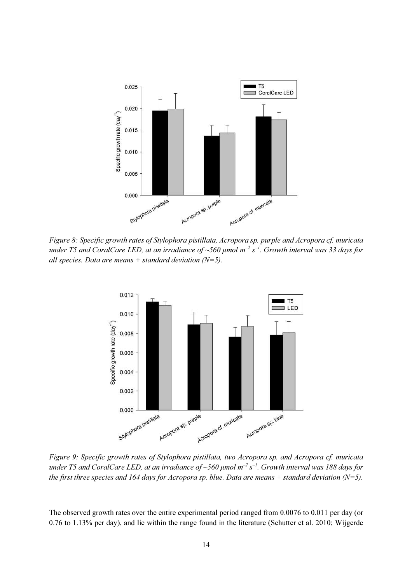

Figure 8: Specific growth rates of Stylophora pistillata, Acropora sp. purple and Acropora cf. muricata under T5 and CoralCare LED, at an irradiance of ~560  $\mu$ mol m<sup>-2</sup> s<sup>-1</sup>. Growth interval was 33 days for all species. Data are means  $+$  standard deviation (N=5).



Figure 9: Specific growth rates of Stylophora pistillata, two Acropora sp. and Acropora cf. muricata under T5 and CoralCare LED, at an irradiance of ~560  $\mu$ mol m<sup>-2</sup> s<sup>-1</sup>. Growth interval was 188 days for the first three species and 164 days for Acropora sp. blue. Data are means  $+$  standard deviation (N=5).

The observed growth rates over the entire experimental period ranged from 0.0076 to 0.011 per day (or 0.76 to 1.13% per day), and lie within the range found in the literature (Schutter et al. 2010; Wijgerde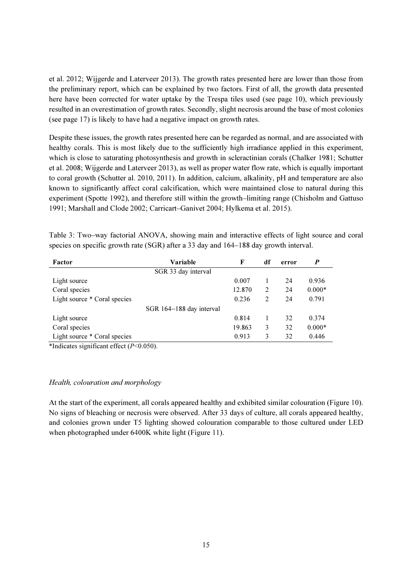et al. 2012; Wijgerde and Laterveer 2013). The growth rates presented here are lower than those from the preliminary report, which can be explained by two factors. First of all, the growth data presented here have been corrected for water uptake by the Trespa tiles used (see page 10), which previously resulted in an overestimation of growth rates. Secondly, slight necrosis around the base of most colonies (see page 17) is likely to have had a negative impact on growth rates.

Despite these issues, the growth rates presented here can be regarded as normal, and are associated with healthy corals. This is most likely due to the sufficiently high irradiance applied in this experiment, which is close to saturating photosynthesis and growth in scleractinian corals (Chalker 1981; Schutter et al. 2008; Wijgerde and Laterveer 2013), as well as proper water flow rate, which is equally important to coral growth (Schutter al. 2010, 2011). In addition, calcium, alkalinity, pH and temperature are also known to significantly affect coral calcification, which were maintained close to natural during this experiment (Spotte 1992), and therefore still within the growth–limiting range (Chisholm and Gattuso 1991; Marshall and Clode 2002; Carricart–Ganivet 2004; Hylkema et al. 2015).

Table 3: Two–way factorial ANOVA, showing main and interactive effects of light source and coral species on specific growth rate (SGR) after a 33 day and 164–188 day growth interval.

| Factor                       | Variable                 | F      | df | error | P        |
|------------------------------|--------------------------|--------|----|-------|----------|
|                              | SGR 33 day interval      |        |    |       |          |
| Light source                 |                          | 0.007  |    | 24    | 0.936    |
| Coral species                |                          | 12.870 | 2  | 24    | $0.000*$ |
| Light source * Coral species |                          | 0.236  | 2  | 24    | 0.791    |
|                              | SGR 164-188 day interval |        |    |       |          |
| Light source                 |                          | 0.814  |    | 32    | 0.374    |
| Coral species                |                          | 19.863 | 3  | 32    | $0.000*$ |
| Light source * Coral species |                          | 0.913  | 3  | 32    | 0.446    |

\*Indicates significant effect  $(P<0.050)$ .

# Health, colouration and morphology

At the start of the experiment, all corals appeared healthy and exhibited similar colouration (Figure 10). No signs of bleaching or necrosis were observed. After 33 days of culture, all corals appeared healthy, and colonies grown under T5 lighting showed colouration comparable to those cultured under LED when photographed under 6400K white light (Figure 11).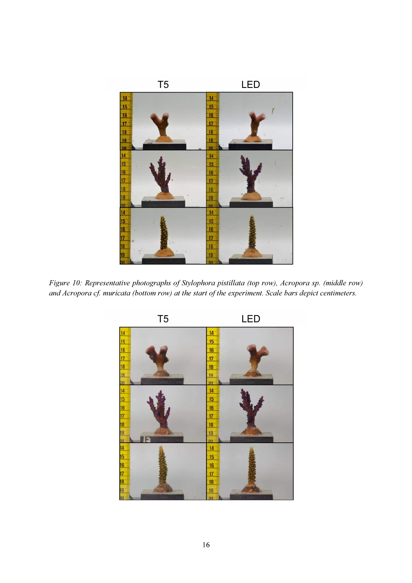

Figure 10: Representative photographs of Stylophora pistillata (top row), Acropora sp. (middle row) and Acropora cf. muricata (bottom row) at the start of the experiment. Scale bars depict centimeters.

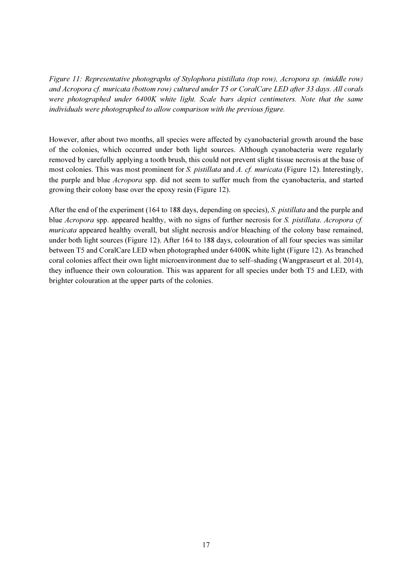Figure 11: Representative photographs of Stylophora pistillata (top row), Acropora sp. (middle row) and Acropora cf. muricata (bottom row) cultured under T5 or CoralCare LED after 33 days. All corals were photographed under 6400K white light. Scale bars depict centimeters. Note that the same individuals were photographed to allow comparison with the previous figure.

However, after about two months, all species were affected by cyanobacterial growth around the base of the colonies, which occurred under both light sources. Although cyanobacteria were regularly removed by carefully applying a tooth brush, this could not prevent slight tissue necrosis at the base of most colonies. This was most prominent for S. pistillata and A. cf. muricata (Figure 12). Interestingly, the purple and blue Acropora spp. did not seem to suffer much from the cyanobacteria, and started growing their colony base over the epoxy resin (Figure 12).

After the end of the experiment (164 to 188 days, depending on species), S. *pistillata* and the purple and blue Acropora spp. appeared healthy, with no signs of further necrosis for S. pistillata. Acropora cf. muricata appeared healthy overall, but slight necrosis and/or bleaching of the colony base remained, under both light sources (Figure 12). After 164 to 188 days, colouration of all four species was similar between T5 and CoralCare LED when photographed under 6400K white light (Figure 12). As branched coral colonies affect their own light microenvironment due to self–shading (Wangpraseurt et al. 2014), they influence their own colouration. This was apparent for all species under both T5 and LED, with brighter colouration at the upper parts of the colonies.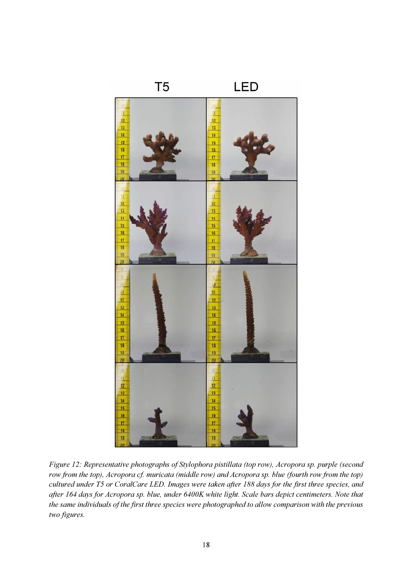

Figure 12: Representative photographs of Stylophora pistillata (top row), Acropora sp. purple (second row from the top), Acropora cf. muricata (middle row) and Acropora sp. blue (fourth row from the top) cultured under T5 or CoralCare LED. Images were taken after 188 days for the first three species, and after 164 days for Acropora sp. blue, under 6400K white light. Scale bars depict centimeters. Note that the same individuals of the first three species were photographed to allow comparison with the previous two figures.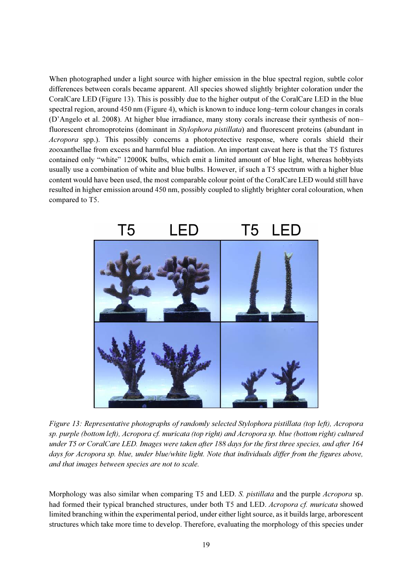When photographed under a light source with higher emission in the blue spectral region, subtle color differences between corals became apparent. All species showed slightly brighter coloration under the CoralCare LED (Figure 13). This is possibly due to the higher output of the CoralCare LED in the blue spectral region, around 450 nm (Figure 4), which is known to induce long–term colour changes in corals (D'Angelo et al. 2008). At higher blue irradiance, many stony corals increase their synthesis of non– fluorescent chromoproteins (dominant in *Stylophora pistillata*) and fluorescent proteins (abundant in Acropora spp.). This possibly concerns a photoprotective response, where corals shield their zooxanthellae from excess and harmful blue radiation. An important caveat here is that the T5 fixtures contained only "white" 12000K bulbs, which emit a limited amount of blue light, whereas hobbyists usually use a combination of white and blue bulbs. However, if such a T5 spectrum with a higher blue content would have been used, the most comparable colour point of the CoralCare LED would still have resulted in higher emission around 450 nm, possibly coupled to slightly brighter coral colouration, when compared to T5.



Figure 13: Representative photographs of randomly selected Stylophora pistillata (top left), Acropora sp. purple (bottom left), Acropora cf. muricata (top right) and Acropora sp. blue (bottom right) cultured under T5 or CoralCare LED. Images were taken after 188 days for the first three species, and after 164 days for Acropora sp. blue, under blue/white light. Note that individuals differ from the figures above, and that images between species are not to scale.

Morphology was also similar when comparing T5 and LED. S. *pistillata* and the purple *Acropora* sp. had formed their typical branched structures, under both T5 and LED. Acropora cf. muricata showed limited branching within the experimental period, under either light source, as it builds large, arborescent structures which take more time to develop. Therefore, evaluating the morphology of this species under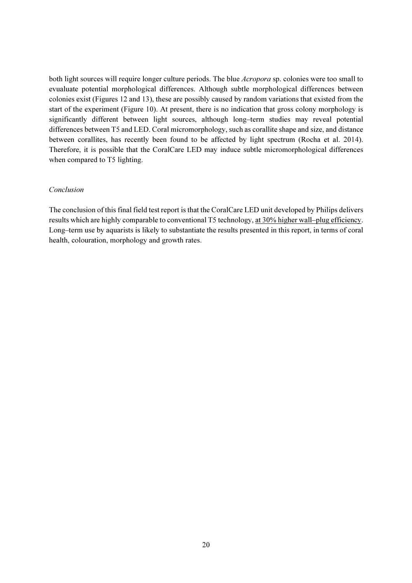both light sources will require longer culture periods. The blue *Acropora* sp. colonies were too small to evualuate potential morphological differences. Although subtle morphological differences between colonies exist (Figures 12 and 13), these are possibly caused by random variations that existed from the start of the experiment (Figure 10). At present, there is no indication that gross colony morphology is significantly different between light sources, although long–term studies may reveal potential differences between T5 and LED. Coral micromorphology, such as corallite shape and size, and distance between corallites, has recently been found to be affected by light spectrum (Rocha et al. 2014). Therefore, it is possible that the CoralCare LED may induce subtle micromorphological differences when compared to T5 lighting.

#### Conclusion

The conclusion of this final field test report is that the CoralCare LED unit developed by Philips delivers results which are highly comparable to conventional T5 technology, at 30% higher wall–plug efficiency. Long–term use by aquarists is likely to substantiate the results presented in this report, in terms of coral health, colouration, morphology and growth rates.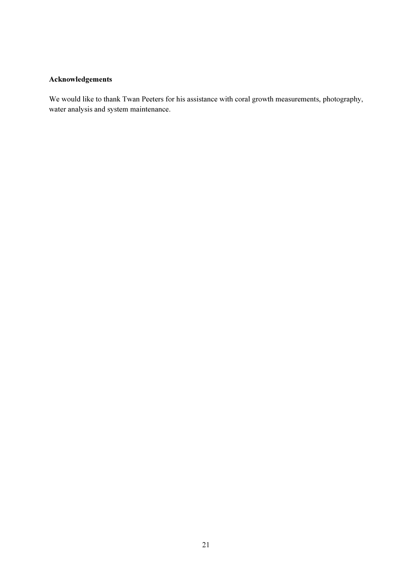# Acknowledgements

We would like to thank Twan Peeters for his assistance with coral growth measurements, photography, water analysis and system maintenance.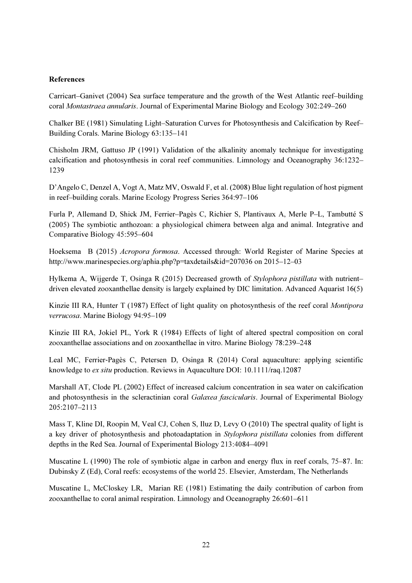# References

Carricart–Ganivet (2004) Sea surface temperature and the growth of the West Atlantic reef–building coral Montastraea annularis. Journal of Experimental Marine Biology and Ecology 302:249–260

Chalker BE (1981) Simulating Light–Saturation Curves for Photosynthesis and Calcification by Reef– Building Corals. Marine Biology 63:135–141

Chisholm JRM, Gattuso JP (1991) Validation of the alkalinity anomaly technique for investigating calcification and photosynthesis in coral reef communities. Limnology and Oceanography 36:1232– 1239

D'Angelo C, Denzel A, Vogt A, Matz MV, Oswald F, et al. (2008) Blue light regulation of host pigment in reef–building corals. Marine Ecology Progress Series 364:97–106

Furla P, Allemand D, Shick JM, Ferrier–Pagès C, Richier S, Plantivaux A, Merle P–L, Tambutté S (2005) The symbiotic anthozoan: a physiological chimera between alga and animal. Integrative and Comparative Biology 45:595–604

Hoeksema B (2015) Acropora formosa. Accessed through: World Register of Marine Species at http://www.marinespecies.org/aphia.php?p=taxdetails&id=207036 on 2015–12–03

Hylkema A, Wijgerde T, Osinga R (2015) Decreased growth of Stylophora pistillata with nutrient– driven elevated zooxanthellae density is largely explained by DIC limitation. Advanced Aquarist 16(5)

Kinzie III RA, Hunter T (1987) Effect of light quality on photosynthesis of the reef coral *Montipora* verrucosa. Marine Biology 94:95–109

Kinzie III RA, Jokiel PL, York R (1984) Effects of light of altered spectral composition on coral zooxanthellae associations and on zooxanthellae in vitro. Marine Biology 78:239–248

Leal MC, Ferrier‐Pagès C, Petersen D, Osinga R (2014) Coral aquaculture: applying scientific knowledge to ex situ production. Reviews in Aquaculture DOI: 10.1111/raq.12087

Marshall AT, Clode PL (2002) Effect of increased calcium concentration in sea water on calcification and photosynthesis in the scleractinian coral Galaxea fascicularis. Journal of Experimental Biology 205:2107–2113

Mass T, Kline DI, Roopin M, Veal CJ, Cohen S, Iluz D, Levy O (2010) The spectral quality of light is a key driver of photosynthesis and photoadaptation in Stylophora pistillata colonies from different depths in the Red Sea. Journal of Experimental Biology 213:4084–4091

Muscatine L (1990) The role of symbiotic algae in carbon and energy flux in reef corals, 75–87. In: Dubinsky Z (Ed), Coral reefs: ecosystems of the world 25. Elsevier, Amsterdam, The Netherlands

Muscatine L, McCloskey LR, Marian RE (1981) Estimating the daily contribution of carbon from zooxanthellae to coral animal respiration. Limnology and Oceanography 26:601–611